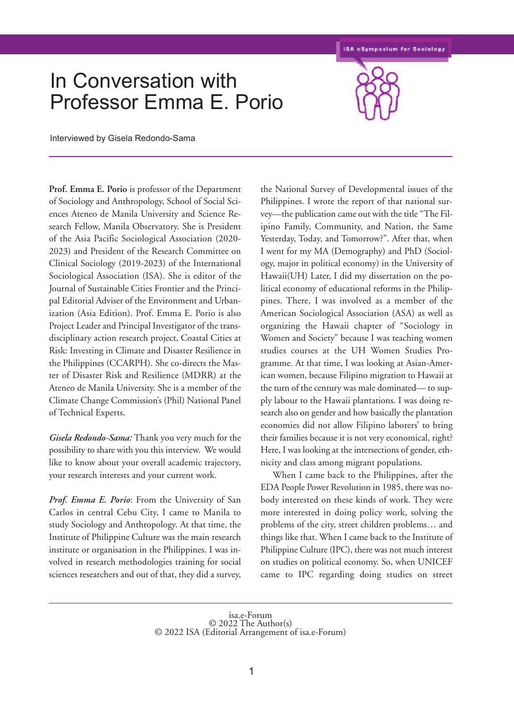**ISA eSymposium for Sociology** 

## In Conversation with Professor Emma E. Porio



Interviewed by Gisela Redondo-Sama

**Prof. Emma E. Porio** is professor of the Department of Sociology and Anthropology, School of Social Sciences Ateneo de Manila University and Science Research Fellow, Manila Observatory. She is President of the Asia Pacific Sociological Association (2020- 2023) and President of the Research Committee on Clinical Sociology (2019-2023) of the International Sociological Association (ISA). She is editor of the Journal of Sustainable Cities Frontier and the Principal Editorial Adviser of the Environment and Urbanization (Asia Edition). Prof. Emma E. Porio is also Project Leader and Principal Investigator of the transdisciplinary action research project, Coastal Cities at Risk: Investing in Climate and Disaster Resilience in the Philippines (CCARPH). She co-directs the Master of Disaster Risk and Resilience (MDRR) at the Ateneo de Manila University. She is a member of the Climate Change Commission's (Phil) National Panel of Technical Experts.

*Gisela Redondo-Sama:* Thank you very much for the possibility to share with you this interview. We would like to know about your overall academic trajectory, your research interests and your current work.

*Prof. Emma E. Porio*: From the University of San Carlos in central Cebu City, I came to Manila to study Sociology and Anthropology. At that time, the Institute of Philippine Culture was the main research institute or organisation in the Philippines. I was involved in research methodologies training for social sciences researchers and out of that, they did a survey,

the National Survey of Developmental issues of the Philippines. I wrote the report of that national survey—the publication came out with the title "The Filipino Family, Community, and Nation, the Same Yesterday, Today, and Tomorrow?". After that, when I went for my MA (Demography) and PhD (Sociology, major in political economy) in the University of Hawaii(UH) Later, I did my dissertation on the political economy of educational reforms in the Philippines. There, I was involved as a member of the American Sociological Association (ASA) as well as organizing the Hawaii chapter of "Sociology in Women and Society" because I was teaching women studies courses at the UH Women Studies Programme. At that time, I was looking at Asian-American women, because Filipino migration to Hawaii at the turn of the century was male dominated— to supply labour to the Hawaii plantations. I was doing research also on gender and how basically the plantation economies did not allow Filipino laborers' to bring their families because it is not very economical, right? Here, I was looking at the intersections of gender, ethnicity and class among migrant populations.

When I came back to the Philippines, after the EDA People Power Revolution in 1985, there was nobody interested on these kinds of work. They were more interested in doing policy work, solving the problems of the city, street children problems… and things like that. When I came back to the Institute of Philippine Culture (IPC), there was not much interest on studies on political economy. So, when UNICEF came to IPC regarding doing studies on street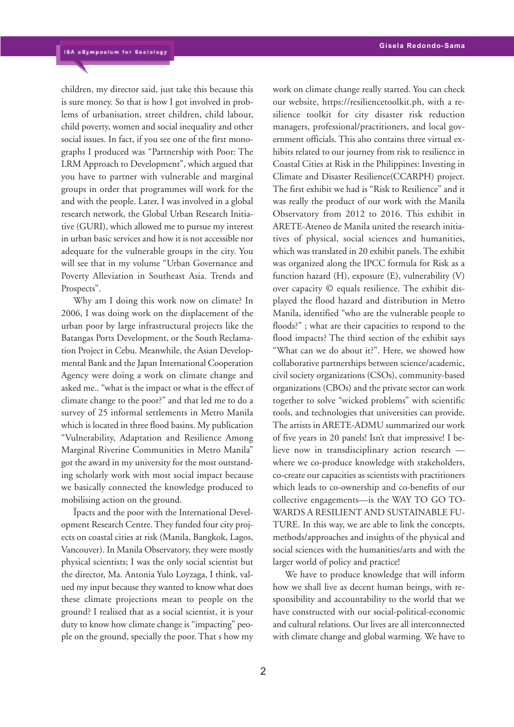children, my director said, just take this because this is sure money. So that is how I got involved in problems of urbanisation, street children, child labour, child poverty, women and social inequality and other social issues. In fact, if you see one of the first monographs I produced was "Partnership with Poor: The LRM Approach to Development", which argued that you have to partner with vulnerable and marginal groups in order that programmes will work for the and with the people. Later, I was involved in a global research network, the Global Urban Research Initiative (GURI), which allowed me to pursue my interest in urban basic services and how it is not accessible nor adequate for the vulnerable groups in the city. You will see that in my volume "Urban Governance and Poverty Alleviation in Southeast Asia. Trends and Prospects".

Why am I doing this work now on climate? In 2006, I was doing work on the displacement of the urban poor by large infrastructural projects like the Batangas Ports Development, or the South Reclamation Project in Cebu. Meanwhile, the Asian Developmental Bank and the Japan International Cooperation Agency were doing a work on climate change and asked me.. "what is the impact or what is the effect of climate change to the poor?" and that led me to do a survey of 25 informal settlements in Metro Manila which is located in three flood basins. My publication "Vulnerability, Adaptation and Resilience Among Marginal Riverine Communities in Metro Manila" got the award in my university for the most outstanding scholarly work with most social impact because we basically connected the knowledge produced to mobilising action on the ground.

Ïpacts and the poor with the International Development Research Centre.They funded four city projects on coastal cities at risk (Manila, Bangkok, Lagos, Vancouver). In Manila Observatory, they were mostly physical scientists; I was the only social scientist but the director, Ma. Antonia Yulo Loyzaga, I think, valued my input because they wanted to know what does these climate projections mean to people on the ground? I realised that as a social scientist, it is your duty to know how climate change is "impacting" people on the ground, specially the poor. That s how my work on climate change really started. You can check our website, https://resiliencetoolkit.ph, with a resilience toolkit for city disaster risk reduction managers, professional/practitioners, and local government officials. This also contains three virtual exhibits related to our journey from risk to resilience in Coastal Cities at Risk in the Philippines: Investing in Climate and Disaster Resilience(CCARPH) project. The first exhibit we had is "Risk to Resilience" and it was really the product of our work with the Manila Observatory from 2012 to 2016. This exhibit in ARETE-Ateneo de Manila united the research initiatives of physical, social sciences and humanities, which was translated in 20 exhibit panels.The exhibit was organized along the IPCC formula for Risk as a function hazard (H), exposure (E), vulnerability (V) over capacity © equals resilience. The exhibit displayed the flood hazard and distribution in Metro Manila, identified "who are the vulnerable people to floods?" ; what are their capacities to respond to the flood impacts? The third section of the exhibit says "What can we do about it?". Here, we showed how collaborative partnerships between science/academic, civil society organizations (CSOs), community-based organizations (CBOs) and the private sector can work together to solve "wicked problems" with scientific tools, and technologies that universities can provide**.** The artists in ARETE-ADMU summarized our work of five years in 20 panels! Isn't that impressive! I believe now in transdisciplinary action research where we co-produce knowledge with stakeholders, co-create our capacities as scientists with practitioners which leads to co-ownership and co-benefits of our collective engagements—is the WAY TO GO TO-WARDS A RESILIENT AND SUSTAINABLE FU-TURE. In this way, we are able to link the concepts, methods/approaches and insights of the physical and social sciences with the humanities/arts and with the larger world of policy and practice!

We have to produce knowledge that will inform how we shall live as decent human beings, with responsibility and accountability to the world that we have constructed with our social-political-economic and cultural relations. Our lives are all interconnected with climate change and global warming. We have to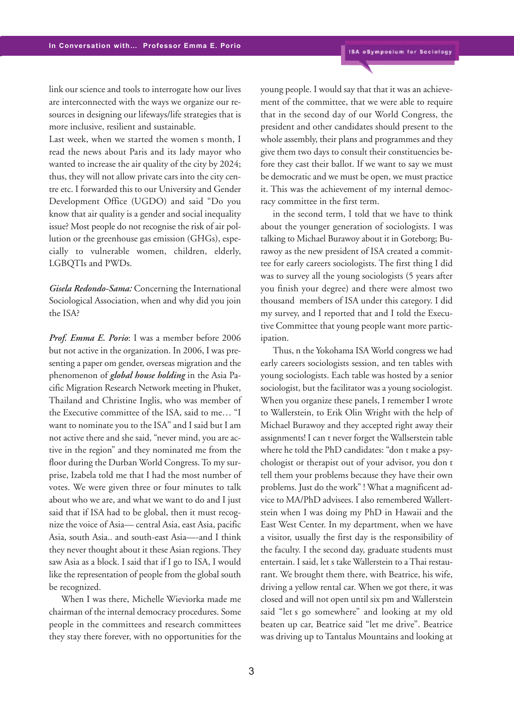link our science and tools to interrogate how our lives are interconnected with the ways we organize our resources in designing our lifeways/life strategies that is more inclusive, resilient and sustainable.

Last week, when we started the women s month, I read the news about Paris and its lady mayor who wanted to increase the air quality of the city by 2024; thus, they will not allow private cars into the city centre etc. I forwarded this to our University and Gender Development Office (UGDO) and said "Do you know that air quality is a gender and social inequality issue? Most people do not recognise the risk of air pollution or the greenhouse gas emission (GHGs), especially to vulnerable women, children, elderly, LGBQTIs and PWDs.

*Gisela Redondo-Sama:* Concerning the International Sociological Association, when and why did you join the ISA?

*Prof. Emma E. Porio*: I was a member before 2006 but not active in the organization. In 2006, I was presenting a paper om gender, overseas migration and the phenomenon of *global house holding* in the Asia Pacific Migration Research Network meeting in Phuket, Thailand and Christine Inglis, who was member of the Executive committee of the ISA, said to me… "I want to nominate you to the ISA" and I said but I am not active there and she said, "never mind, you are active in the region" and they nominated me from the floor during the Durban World Congress. To my surprise, Izabela told me that I had the most number of votes. We were given three or four minutes to talk about who we are, and what we want to do and I just said that if ISA had to be global, then it must recognize the voice of Asia— central Asia, east Asia, pacific Asia, south Asia.. and south-east Asia—-and I think they never thought about it these Asian regions. They saw Asia as a block. I said that if I go to ISA, I would like the representation of people from the global south be recognized.

When I was there, Michelle Wieviorka made me chairman of the internal democracy procedures. Some people in the committees and research committees they stay there forever, with no opportunities for the young people. I would say that that it was an achievement of the committee, that we were able to require that in the second day of our World Congress, the president and other candidates should present to the whole assembly, their plans and programmes and they give them two days to consult their constituencies before they cast their ballot. If we want to say we must be democratic and we must be open, we must practice it. This was the achievement of my internal democracy committee in the first term.

in the second term, I told that we have to think about the younger generation of sociologists. I was talking to Michael Burawoy about it in Goteborg; Burawoy as the new president of ISA created a committee for early careers sociologists. The first thing I did was to survey all the young sociologists (5 years after you finish your degree) and there were almost two thousand members of ISA under this category. I did my survey, and I reported that and I told the Executive Committee that young people want more participation.

Thus, n the Yokohama ISA World congress we had early careers sociologists session, and ten tables with young sociologists. Each table was hosted by a senior sociologist, but the facilitator was a young sociologist. When you organize these panels, I remember I wrote to Wallerstein, to Erik Olin Wright with the help of Michael Burawoy and they accepted right away their assignments! I can t never forget the Wallserstein table where he told the PhD candidates: "don t make a psychologist or therapist out of your advisor, you don t tell them your problems because they have their own problems. Just do the work" ! What a magnificent advice to MA/PhD advisees. I also remembered Wallertstein when I was doing my PhD in Hawaii and the East West Center. In my department, when we have a visitor, usually the first day is the responsibility of the faculty. I the second day, graduate students must entertain. I said, let s take Wallerstein to aThai restaurant. We brought them there, with Beatrice, his wife, driving a yellow rental car. When we got there, it was closed and will not open until six pm and Wallerstein said "let s go somewhere" and looking at my old beaten up car, Beatrice said "let me drive". Beatrice was driving up to Tantalus Mountains and looking at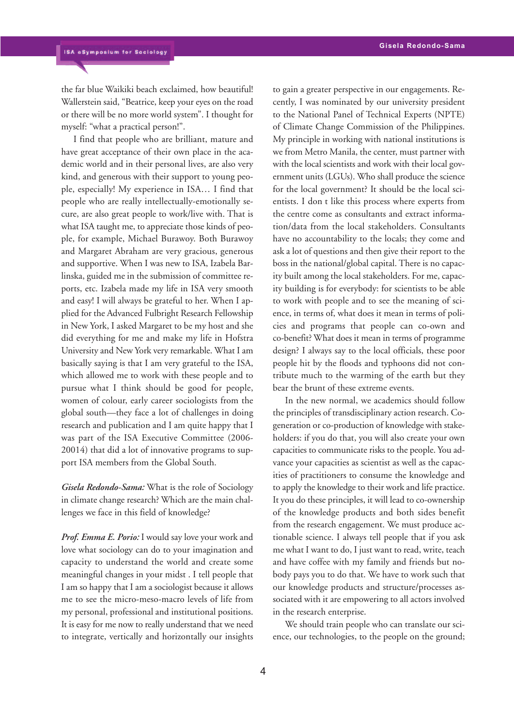the far blue Waikiki beach exclaimed, how beautiful! Wallerstein said, "Beatrice, keep your eyes on the road or there will be no more world system". I thought for myself: "what a practical person!".

I find that people who are brilliant, mature and have great acceptance of their own place in the academic world and in their personal lives, are also very kind, and generous with their support to young people, especially! My experience in ISA… I find that people who are really intellectually-emotionally secure, are also great people to work/live with. That is what ISA taught me, to appreciate those kinds of people, for example, Michael Burawoy. Both Burawoy and Margaret Abraham are very gracious, generous and supportive. When I was new to ISA, Izabela Barlinska, guided me in the submission of committee reports, etc. Izabela made my life in ISA very smooth and easy! I will always be grateful to her. When I applied for the Advanced Fulbright Research Fellowship in New York, I asked Margaret to be my host and she did everything for me and make my life in Hofstra University and New York very remarkable. What I am basically saying is that I am very grateful to the ISA, which allowed me to work with these people and to pursue what I think should be good for people, women of colour, early career sociologists from the global south—they face a lot of challenges in doing research and publication and I am quite happy that I was part of the ISA Executive Committee (2006- 20014) that did a lot of innovative programs to support ISA members from the Global South.

*Gisela Redondo-Sama:* What is the role of Sociology in climate change research? Which are the main challenges we face in this field of knowledge?

*Prof. Emma E. Porio:* I would say love your work and love what sociology can do to your imagination and capacity to understand the world and create some meaningful changes in your midst . I tell people that I am so happy that I am a sociologist because it allows me to see the micro-meso-macro levels of life from my personal, professional and institutional positions. It is easy for me now to really understand that we need to integrate, vertically and horizontally our insights to gain a greater perspective in our engagements. Recently, I was nominated by our university president to the National Panel of Technical Experts (NPTE) of Climate Change Commission of the Philippines. My principle in working with national institutions is we from Metro Manila, the center, must partner with with the local scientists and work with their local government units (LGUs). Who shall produce the science for the local government? It should be the local scientists. I don t like this process where experts from the centre come as consultants and extract information/data from the local stakeholders. Consultants have no accountability to the locals; they come and ask a lot of questions and then give their report to the boss in the national/global capital. There is no capacity built among the local stakeholders. For me, capacity building is for everybody: for scientists to be able to work with people and to see the meaning of science, in terms of, what does it mean in terms of policies and programs that people can co-own and co-benefit? What does it mean in terms of programme design? I always say to the local officials, these poor people hit by the floods and typhoons did not contribute much to the warming of the earth but they bear the brunt of these extreme events.

In the new normal, we academics should follow the principles of transdisciplinary action research. Cogeneration or co-production of knowledge with stakeholders: if you do that, you will also create your own capacities to communicate risks to the people. You advance your capacities as scientist as well as the capacities of practitioners to consume the knowledge and to apply the knowledge to their work and life practice. It you do these principles, it will lead to co-ownership of the knowledge products and both sides benefit from the research engagement. We must produce actionable science. I always tell people that if you ask me what I want to do, I just want to read, write, teach and have coffee with my family and friends but nobody pays you to do that. We have to work such that our knowledge products and structure/processes associated with it are empowering to all actors involved in the research enterprise.

We should train people who can translate our science, our technologies, to the people on the ground;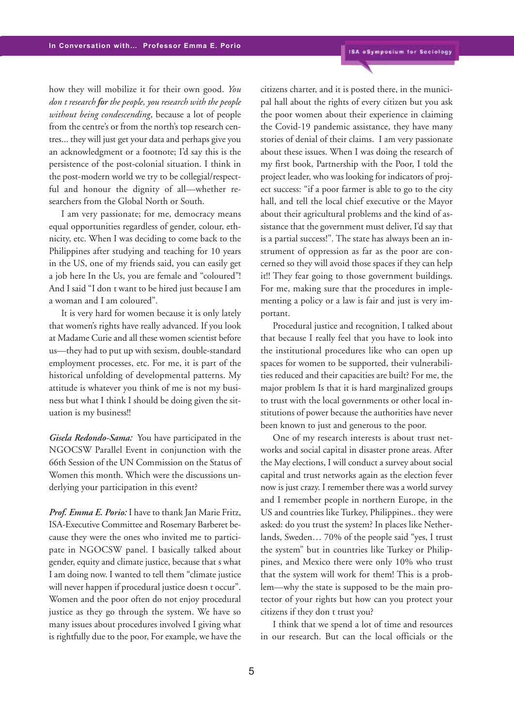how they will mobilize it for their own good. *You don t research for the people, you research with the people without being condescending*, because a lot of people from the centre's or from the north's top research centres... they will just get your data and perhaps give you an acknowledgment or a footnote; I'd say this is the persistence of the post-colonial situation. I think in the post-modern world we try to be collegial/respectful and honour the dignity of all—whether researchers from the Global North or South.

I am very passionate; for me, democracy means equal opportunities regardless of gender, colour, ethnicity, etc. When I was deciding to come back to the Philippines after studying and teaching for 10 years in the US, one of my friends said, you can easily get a job here In the Us, you are female and "coloured"! And I said "I don t want to be hired just because I am a woman and I am coloured".

It is very hard for women because it is only lately that women's rights have really advanced. If you look at Madame Curie and all these women scientist before us—they had to put up with sexism, double-standard employment processes, etc. For me, it is part of the historical unfolding of developmental patterns. My attitude is whatever you think of me is not my business but what I think I should be doing given the situation is my business!!

*Gisela Redondo-Sama:* You have participated in the NGOCSW Parallel Event in conjunction with the 66th Session of the UN Commission on the Status of Women this month. Which were the discussions underlying your participation in this event?

*Prof. Emma E. Porio:* I have to thank Jan Marie Fritz, ISA-Executive Committee and Rosemary Barberet because they were the ones who invited me to participate in NGOCSW panel. I basically talked about gender, equity and climate justice, because that s what I am doing now. I wanted to tell them "climate justice will never happen if procedural justice doesn t occur". Women and the poor often do not enjoy procedural justice as they go through the system. We have so many issues about procedures involved I giving what is rightfully due to the poor, For example, we have the citizens charter, and it is posted there, in the municipal hall about the rights of every citizen but you ask the poor women about their experience in claiming the Covid-19 pandemic assistance, they have many stories of denial of their claims. I am very passionate about these issues. When I was doing the research of my first book, Partnership with the Poor, I told the project leader, who was looking for indicators of project success: "if a poor farmer is able to go to the city hall, and tell the local chief executive or the Mayor about their agricultural problems and the kind of assistance that the government must deliver, I'd say that is a partial success!". The state has always been an instrument of oppression as far as the poor are concerned so they will avoid those spaces if they can help it!! They fear going to those government buildings. For me, making sure that the procedures in implementing a policy or a law is fair and just is very important.

Procedural justice and recognition, I talked about that because I really feel that you have to look into the institutional procedures like who can open up spaces for women to be supported, their vulnerabilities reduced and their capacities are built? For me, the major problem Is that it is hard marginalized groups to trust with the local governments or other local institutions of power because the authorities have never been known to just and generous to the poor.

One of my research interests is about trust networks and social capital in disaster prone areas. After the May elections, I will conduct a survey about social capital and trust networks again as the election fever now is just crazy. I remember there was a world survey and I remember people in northern Europe, in the US and countries like Turkey, Philippines.. they were asked: do you trust the system? In places like Netherlands, Sweden… 70% of the people said "yes, I trust the system" but in countries like Turkey or Philippines, and Mexico there were only 10% who trust that the system will work for them! This is a problem—why the state is supposed to be the main protector of your rights but how can you protect your citizens if they don t trust you?

I think that we spend a lot of time and resources in our research. But can the local officials or the